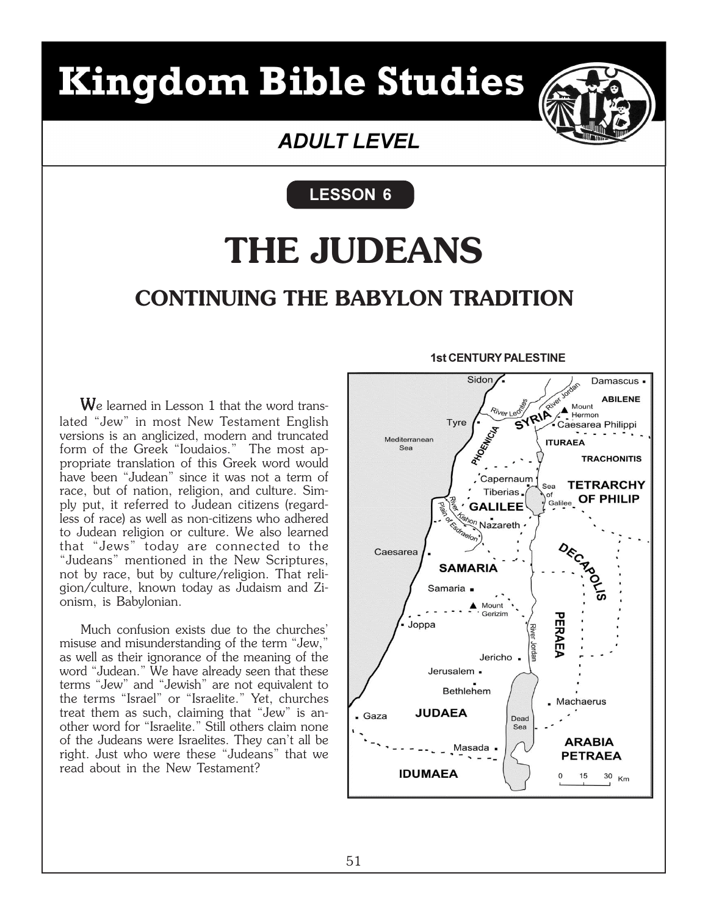## **Kingdom Bible Studies**



## **ADULT LEVEL**

LESSON 6

## **CONTINUING THE BABYLON TRADITION THE JUDEANS**

We learned in Lesson 1 that the word translated "Jew" in most New Testament English versions is an anglicized, modern and truncated form of the Greek "Ioudaios." The most appropriate translation of this Greek word would have been "Judean" since it was not a term of race, but of nation, religion, and culture. Simply put, it referred to Judean citizens (regardless of race) as well as non-citizens who adhered to Judean religion or culture. We also learned that "Jews" today are connected to the "Judeans" mentioned in the New Scriptures, not by race, but by culture/religion. That religion/culture, known today as Judaism and Zionism, is Babylonian.

Much confusion exists due to the churches' misuse and misunderstanding of the term "Jew," as well as their ignorance of the meaning of the word "Judean." We have already seen that these terms "Jew" and "Jewish" are not equivalent to the terms "Israel" or "Israelite." Yet, churches treat them as such, claiming that "Jew" is another word for "Israelite." Still others claim none of the Judeans were Israelites. They can't all be right. Just who were these "Judeans" that we read about in the New Testament?

#### 1st CENTURY PALESTINE

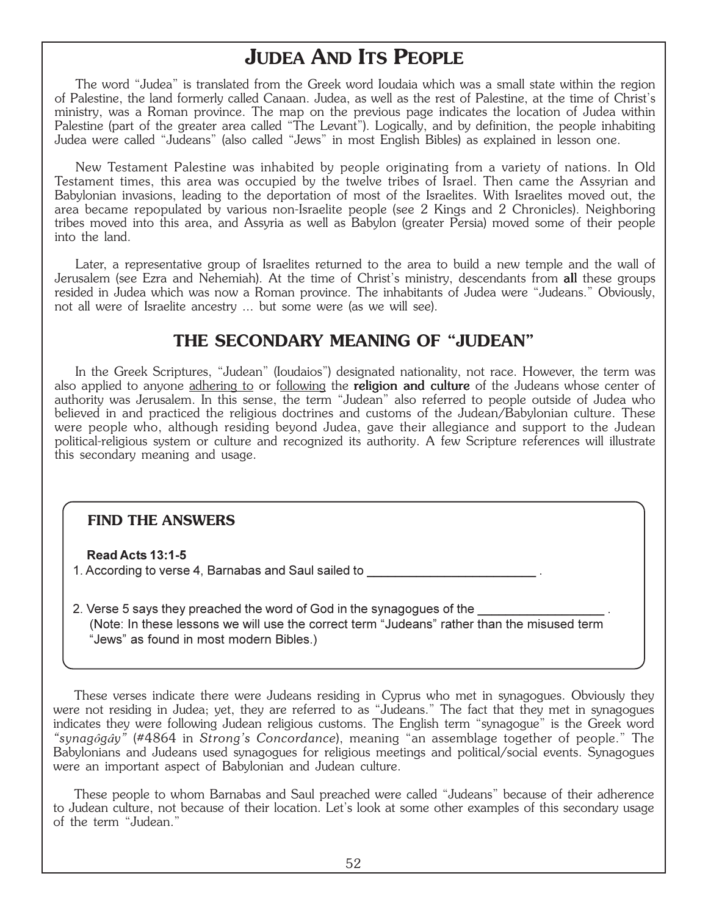## **JUDEA AND ITS PEOPLE**

The word "Judea" is translated from the Greek word Ioudaia which was a small state within the region of Palestine, the land formerly called Canaan. Judea, as well as the rest of Palestine, at the time of Christ's ministry, was a Roman province. The map on the previous page indicates the location of Judea within Palestine (part of the greater area called "The Levant"). Logically, and by definition, the people inhabiting Judea were called "Judeans" (also called "Jews" in most English Bibles) as explained in lesson one.

New Testament Palestine was inhabited by people originating from a variety of nations. In Old Testament times, this area was occupied by the twelve tribes of Israel. Then came the Assyrian and Babylonian invasions, leading to the deportation of most of the Israelites. With Israelites moved out, the area became repopulated by various non-Israelite people (see 2 Kings and 2 Chronicles). Neighboring tribes moved into this area, and Assyria as well as Babylon (greater Persia) moved some of their people into the land.

Later, a representative group of Israelites returned to the area to build a new temple and the wall of Jerusalem (see Ezra and Nehemiah). At the time of Christ's ministry, descendants from all these groups resided in Judea which was now a Roman province. The inhabitants of Judea were "Judeans." Obviously, not all were of Israelite ancestry ... but some were (as we will see).

### **THE SECONDARY MEANING OF "JUDEAN"**

In the Greek Scriptures, "Judean" (Ioudaios") designated nationality, not race. However, the term was also applied to anyone adhering to or following the **religion and culture** of the Judeans whose center of authority was Jerusalem. In this sense, the term "Judean" also referred to people outside of Judea who believed in and practiced the religious doctrines and customs of the Judean/Babylonian culture. These were people who, although residing beyond Judea, gave their allegiance and support to the Judean political-religious system or culture and recognized its authority. A few Scripture references will illustrate this secondary meaning and usage.

#### **FIND THE ANSWERS**

Read Acts 13:1-5

1. According to verse 4, Barnabas and Saul sailed to

2. Verse 5 says they preached the word of God in the synagogues of the (Note: In these lessons we will use the correct term "Judeans" rather than the misused term "Jews" as found in most modern Bibles.)

These verses indicate there were Judeans residing in Cyprus who met in synagogues. Obviously they were not residing in Judea; yet, they are referred to as "Judeans." The fact that they met in synagogues indicates they were following Judean religious customs. The English term "synagogue" is the Greek word *"synag*ô*g*â*y"* (#4864 in *Strong's Concordance*), meaning "an assemblage together of people." The Babylonians and Judeans used synagogues for religious meetings and political/social events. Synagogues were an important aspect of Babylonian and Judean culture.

These people to whom Barnabas and Saul preached were called "Judeans" because of their adherence to Judean culture, not because of their location. Let's look at some other examples of this secondary usage of the term "Judean."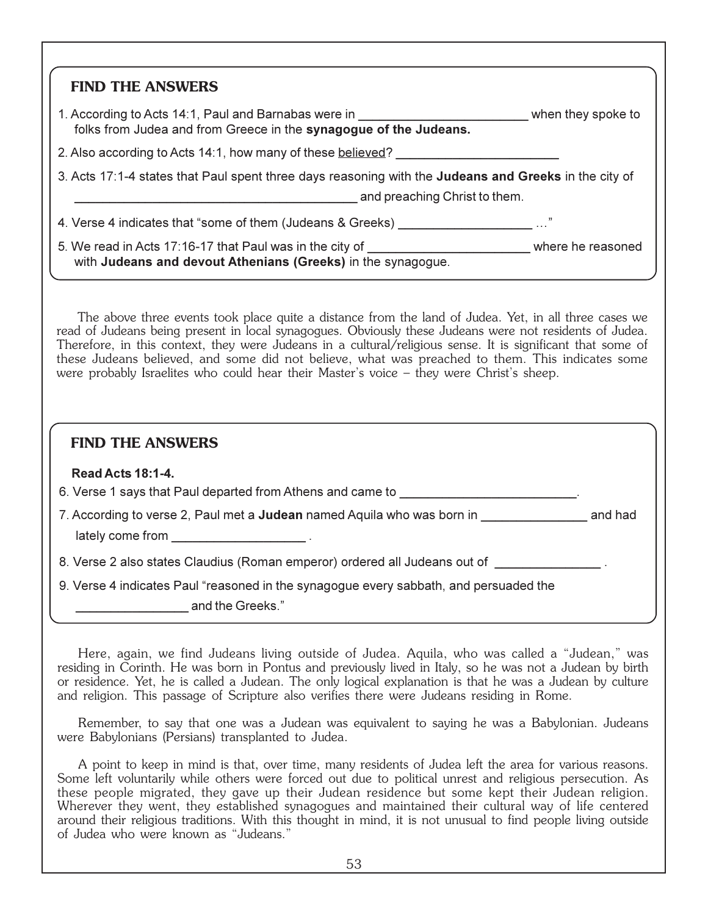| <b>FIND THE ANSWERS</b>                                                                                                                                   |  |
|-----------------------------------------------------------------------------------------------------------------------------------------------------------|--|
| 1. According to Acts 14:1, Paul and Barnabas were in Theorem 2016 when they spoke to<br>folks from Judea and from Greece in the synagogue of the Judeans. |  |
| 2. Also according to Acts 14:1, how many of these believed?                                                                                               |  |
| 3. Acts 17:1-4 states that Paul spent three days reasoning with the <b>Judeans and Greeks</b> in the city of<br>and preaching Christ to them.             |  |
| 4. Verse 4 indicates that "some of them (Judeans & Greeks) $\ldots$                                                                                       |  |
| 5. We read in Acts 17:16-17 that Paul was in the city of the community of the reasoned                                                                    |  |

The above three events took place quite a distance from the land of Judea. Yet, in all three cases we read of Judeans being present in local synagogues. Obviously these Judeans were not residents of Judea. Therefore, in this context, they were Judeans in a cultural/religious sense. It is significant that some of these Judeans believed, and some did not believe, what was preached to them. This indicates some were probably Israelites who could hear their Master's voice – they were Christ's sheep.

#### **FIND THE ANSWERS**

#### Read Acts 18:1-4.

|  | 6. Verse 1 says that Paul departed from Athens and came to |  |
|--|------------------------------------------------------------|--|
|  |                                                            |  |

|                  | 7. According to verse 2, Paul met a <b>Judean</b> named Aquila who was born in | and had |
|------------------|--------------------------------------------------------------------------------|---------|
| lately come from |                                                                                |         |

8. Verse 2 also states Claudius (Roman emperor) ordered all Judeans out of

9. Verse 4 indicates Paul "reasoned in the synagogue every sabbath, and persuaded the

and the Greeks."

Here, again, we find Judeans living outside of Judea. Aquila, who was called a "Judean," was residing in Corinth. He was born in Pontus and previously lived in Italy, so he was not a Judean by birth or residence. Yet, he is called a Judean. The only logical explanation is that he was a Judean by culture and religion. This passage of Scripture also verifies there were Judeans residing in Rome.

Remember, to say that one was a Judean was equivalent to saying he was a Babylonian. Judeans were Babylonians (Persians) transplanted to Judea.

A point to keep in mind is that, over time, many residents of Judea left the area for various reasons. Some left voluntarily while others were forced out due to political unrest and religious persecution. As these people migrated, they gave up their Judean residence but some kept their Judean religion. Wherever they went, they established synagogues and maintained their cultural way of life centered around their religious traditions. With this thought in mind, it is not unusual to find people living outside of Judea who were known as "Judeans."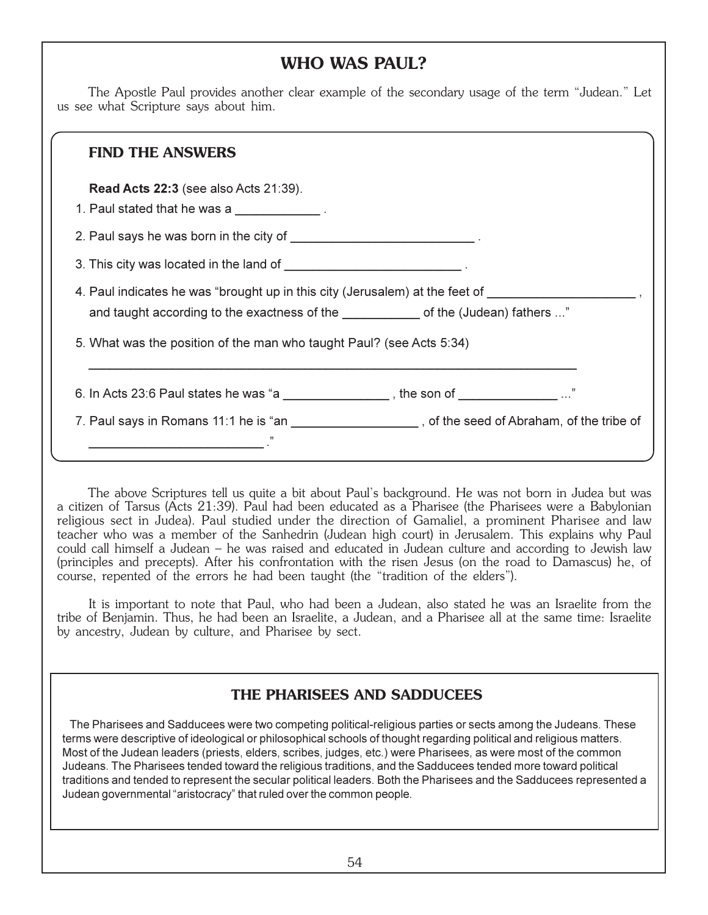## **WHO WAS PAUL?**

 The Apostle Paul provides another clear example of the secondary usage of the term "Judean." Let us see what Scripture says about him.

#### **FIND THE ANSWERS**

Read Acts 22:3 (see also Acts 21:39).

1. Paul stated that he was a  $\frac{1}{2}$ .

\_\_\_\_\_\_\_\_\_\_\_\_\_\_\_\_\_\_\_\_\_\_\_\_\_ ."

2. Paul says he was born in the city of  $\blacksquare$ 

3. This city was located in the land of

4. Paul indicates he was "brought up in this city (Jerusalem) at the feet of and taught according to the exactness of the **come and the (Judean)** fathers ..."

5. What was the position of the man who taught Paul? (see Acts 5:34)

6. In Acts 23:6 Paul states he was "a \_\_\_\_\_\_\_\_\_\_\_\_\_\_\_\_, the son of \_\_\_\_\_\_\_\_\_\_\_\_\_ ..."

\_\_\_\_\_\_\_\_\_\_\_\_\_\_\_\_\_\_\_\_\_\_\_\_\_\_\_\_\_\_\_\_\_\_\_\_\_\_\_\_\_\_\_\_\_\_\_\_\_\_\_\_\_\_\_\_\_\_\_\_\_\_\_\_\_\_\_\_\_\_

7. Paul says in Romans 11:1 he is "an \_\_\_\_\_\_\_\_\_\_\_\_\_\_\_\_\_\_\_\_\_, of the seed of Abraham, of the tribe of

 The above Scriptures tell us quite a bit about Paul's background. He was not born in Judea but was a citizen of Tarsus (Acts 21:39). Paul had been educated as a Pharisee (the Pharisees were a Babylonian religious sect in Judea). Paul studied under the direction of Gamaliel, a prominent Pharisee and law teacher who was a member of the Sanhedrin (Judean high court) in Jerusalem. This explains why Paul could call himself a Judean – he was raised and educated in Judean culture and according to Jewish law (principles and precepts). After his confrontation with the risen Jesus (on the road to Damascus) he, of course, repented of the errors he had been taught (the "tradition of the elders").

 It is important to note that Paul, who had been a Judean, also stated he was an Israelite from the tribe of Benjamin. Thus, he had been an Israelite, a Judean, and a Pharisee all at the same time: Israelite by ancestry, Judean by culture, and Pharisee by sect.

## **THE PHARISEES AND SADDUCEES**

 The Pharisees and Sadducees were two competing political-religious parties or sects among the Judeans. These terms were descriptive of ideological or philosophical schools of thought regarding political and religious matters. Most of the Judean leaders (priests, elders, scribes, judges, etc.) were Pharisees, as were most of the common Judeans. The Pharisees tended toward the religious traditions, and the Sadducees tended more toward political traditions and tended to represent the secular political leaders. Both the Pharisees and the Sadducees represented a Judean governmental "aristocracy" that ruled over the common people.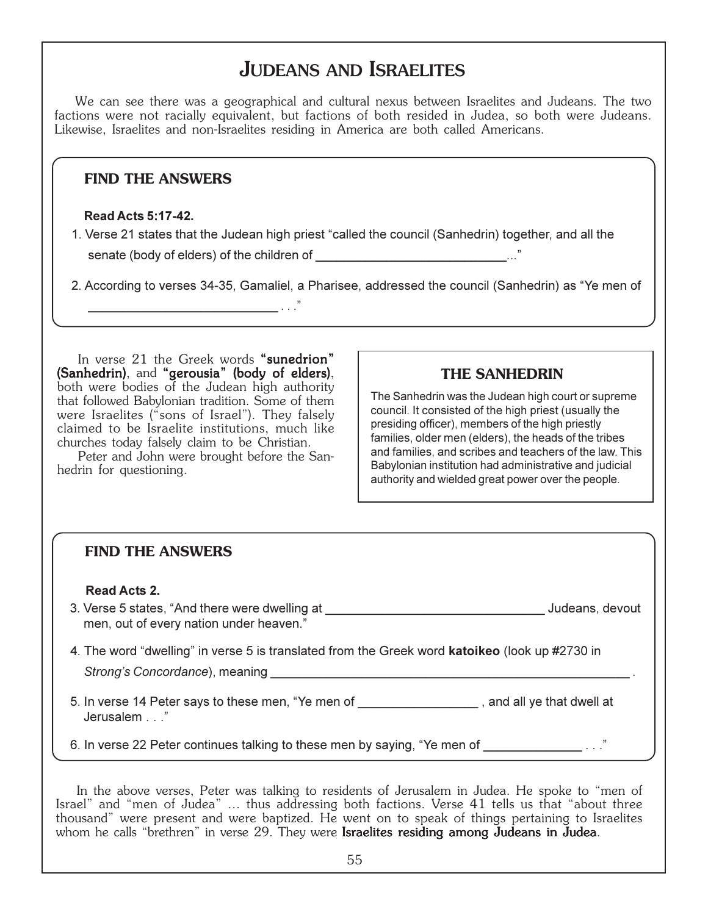## JUDEANS AND ISRAELITES

We can see there was a geographical and cultural nexus between Israelites and Judeans. The two factions were not racially equivalent, but factions of both resided in Judea, so both were Judeans. Likewise, Israelites and non-Israelites residing in America are both called Americans.

#### **FIND THE ANSWERS**

#### Read Acts 5:17-42.

1. Verse 21 states that the Judean high priest "called the council (Sanhedrin) together, and all the senate (body of elders) of the children of \_\_\_\_\_\_\_\_\_\_\_\_\_\_\_\_\_\_\_\_\_\_\_\_\_\_\_..."

2. According to verses 34-35, Gamaliel, a Pharisee, addressed the council (Sanhedrin) as "Ye men of

In verse 21 the Greek words "sunedrion" (Sanhedrin), and "gerousia" (body of elders), both were bodies of the Judean high authority that followed Babylonian tradition. Some of them were Israelites ("sons of Israel"). They falsely claimed to be Israelite institutions, much like churches today falsely claim to be Christian.

\_\_\_\_\_\_\_\_\_\_\_\_\_\_\_\_\_\_\_\_\_\_\_\_\_\_\_ . . ."

Peter and John were brought before the Sanhedrin for questioning.

#### **THE SANHEDRIN**

The Sanhedrin was the Judean high court or supreme council. It consisted of the high priest (usually the presiding officer), members of the high priestly families, older men (elders), the heads of the tribes and families, and scribes and teachers of the law. This Babylonian institution had administrative and judicial authority and wielded great power over the people.

| <b>FIND THE ANSWERS</b>                                                                                                                 |                 |
|-----------------------------------------------------------------------------------------------------------------------------------------|-----------------|
| <b>Read Acts 2.</b><br>3. Verse 5 states, "And there were dwelling at<br>men, out of every nation under heaven."                        | Judeans, devout |
| 4. The word "dwelling" in verse 5 is translated from the Greek word <b>katoikeo</b> (look up #2730 in<br>Strong's Concordance), meaning |                 |
| 5. In verse 14 Peter says to these men, "Ye men of _____________________, and all ye that dwell at<br>Jerusalem"                        |                 |
| 6. In verse 22 Peter continues talking to these men by saying, "Ye men of                                                               |                 |

In the above verses, Peter was talking to residents of Jerusalem in Judea. He spoke to "men of Israel" and "men of Judea" ... thus addressing both factions. Verse 41 tells us that "about three thousand" were present and were baptized. He went on to speak of things pertaining to Israelites whom he calls "brethren" in verse 29. They were **Israelites residing among Judeans in Judea**.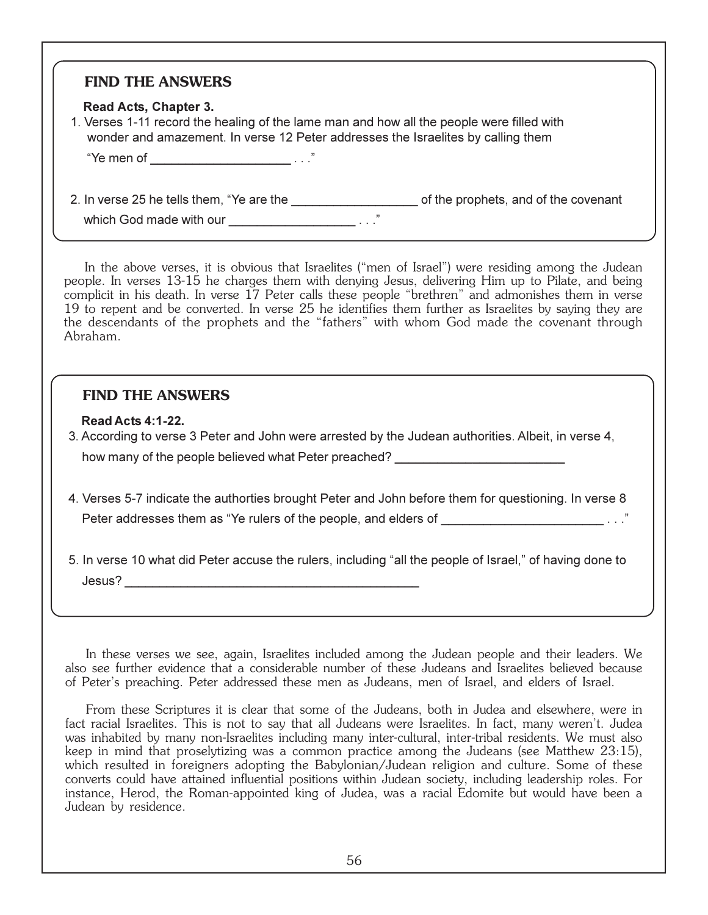#### **FIND THE ANSWERS**

#### Read Acts, Chapter 3.

 1. Verses 1-11 record the healing of the lame man and how all the people were filled with wonder and amazement. In verse 12 Peter addresses the Israelites by calling them

"Ye men of \_\_\_\_\_\_\_\_\_\_\_\_\_\_\_\_\_\_\_\_\_\_\_\_\_\_ . . ."

2. In verse 25 he tells them, "Ye are the \_\_\_\_\_\_\_\_\_\_\_\_\_\_\_\_\_\_\_\_\_\_\_\_\_\_\_\_of the prophets, and of the covenant

which God made with our  $\frac{1}{\sqrt{1-\frac{1}{2}}\cdot\frac{1}{\sqrt{1-\frac{1}{2}}}}$  ..."

In the above verses, it is obvious that Israelites ("men of Israel") were residing among the Judean people. In verses 13-15 he charges them with denying Jesus, delivering Him up to Pilate, and being complicit in his death. In verse 17 Peter calls these people "brethren" and admonishes them in verse 19 to repent and be converted. In verse 25 he identifies them further as Israelites by saying they are the descendants of the prophets and the "fathers" with whom God made the covenant through Abraham.

#### **FIND THE ANSWERS**

#### Read Acts 4:1-22.

- 3. According to verse 3 Peter and John were arrested by the Judean authorities. Albeit, in verse 4, how many of the people believed what Peter preached?
- 4. Verses 5-7 indicate the authorties brought Peter and John before them for questioning. In verse 8 Peter addresses them as "Ye rulers of the people, and elders of \_\_\_\_\_\_\_\_\_\_\_\_\_\_\_\_\_\_\_\_\_\_\_.....

 5. In verse 10 what did Peter accuse the rulers, including "all the people of Israel," of having done to  $Jesus?$ 

In these verses we see, again, Israelites included among the Judean people and their leaders. We also see further evidence that a considerable number of these Judeans and Israelites believed because of Peter's preaching. Peter addressed these men as Judeans, men of Israel, and elders of Israel.

From these Scriptures it is clear that some of the Judeans, both in Judea and elsewhere, were in fact racial Israelites. This is not to say that all Judeans were Israelites. In fact, many weren't. Judea was inhabited by many non-Israelites including many inter-cultural, inter-tribal residents. We must also keep in mind that proselytizing was a common practice among the Judeans (see Matthew 23:15), which resulted in foreigners adopting the Babylonian/Judean religion and culture. Some of these converts could have attained influential positions within Judean society, including leadership roles. For instance, Herod, the Roman-appointed king of Judea, was a racial Edomite but would have been a Judean by residence.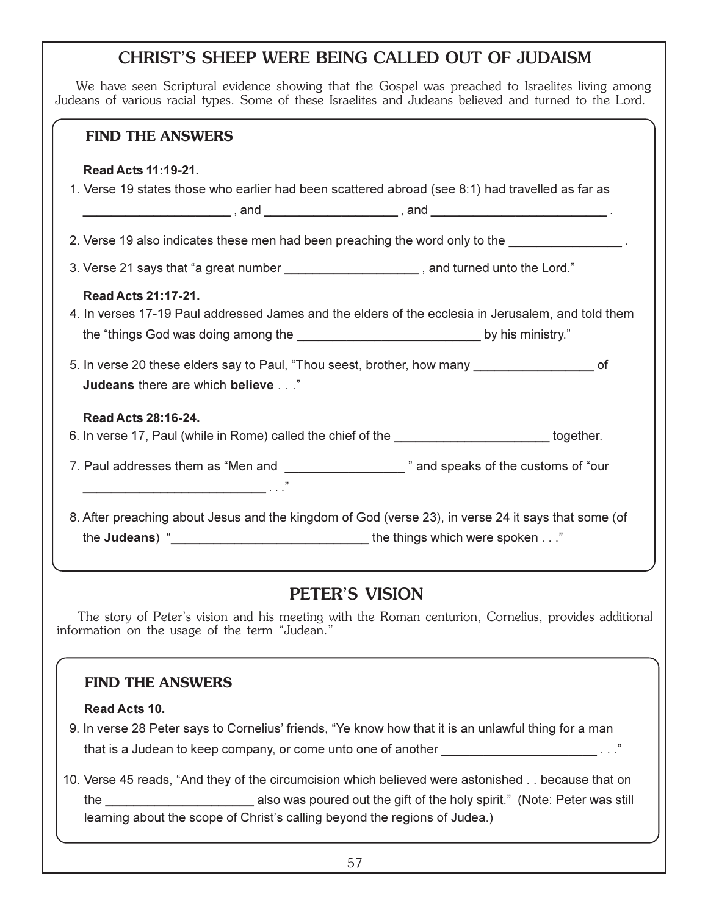## CHRIST'S SHEEP WERE BEING CALLED OUT OF JUDAISM

We have seen Scriptural evidence showing that the Gospel was preached to Israelites living among Judeans of various racial types. Some of these Israelites and Judeans believed and turned to the Lord.

| <b>FIND THE ANSWERS</b>                                                                                                                     |  |  |
|---------------------------------------------------------------------------------------------------------------------------------------------|--|--|
| Read Acts 11:19-21.<br>1. Verse 19 states those who earlier had been scattered abroad (see 8:1) had travelled as far as                     |  |  |
|                                                                                                                                             |  |  |
| 2. Verse 19 also indicates these men had been preaching the word only to the _________________.                                             |  |  |
| 3. Verse 21 says that "a great number ______________________, and turned unto the Lord."                                                    |  |  |
| Read Acts 21:17-21.<br>4. In verses 17-19 Paul addressed James and the elders of the ecclesia in Jerusalem, and told them                   |  |  |
| 5. In verse 20 these elders say to Paul, "Thou seest, brother, how many ____________________________ of<br>Judeans there are which believe" |  |  |
| Read Acts 28:16-24.                                                                                                                         |  |  |
| 6. In verse 17, Paul (while in Rome) called the chief of the _________________________together.                                             |  |  |
| 7. Paul addresses them as "Men and ______________________" and speaks of the customs of "our                                                |  |  |
| 8. After preaching about Jesus and the kingdom of God (verse 23), in verse 24 it says that some (of                                         |  |  |

## PETER'S VISION

The story of Peter's vision and his meeting with the Roman centurion, Cornelius, provides additional information on the usage of the term "Judean."

#### **FIND THE ANSWERS**

#### Read Acts 10.

- 9. In verse 28 Peter says to Cornelius' friends, "Ye know how that it is an unlawful thing for a man that is a Judean to keep company, or come unto one of another \_\_\_\_\_\_\_\_\_\_\_\_\_\_\_\_\_\_
- 10. Verse 45 reads, "And they of the circumcision which believed were astonished . . because that on the also was poured out the gift of the holy spirit." (Note: Peter was still learning about the scope of Christ's calling beyond the regions of Judea.)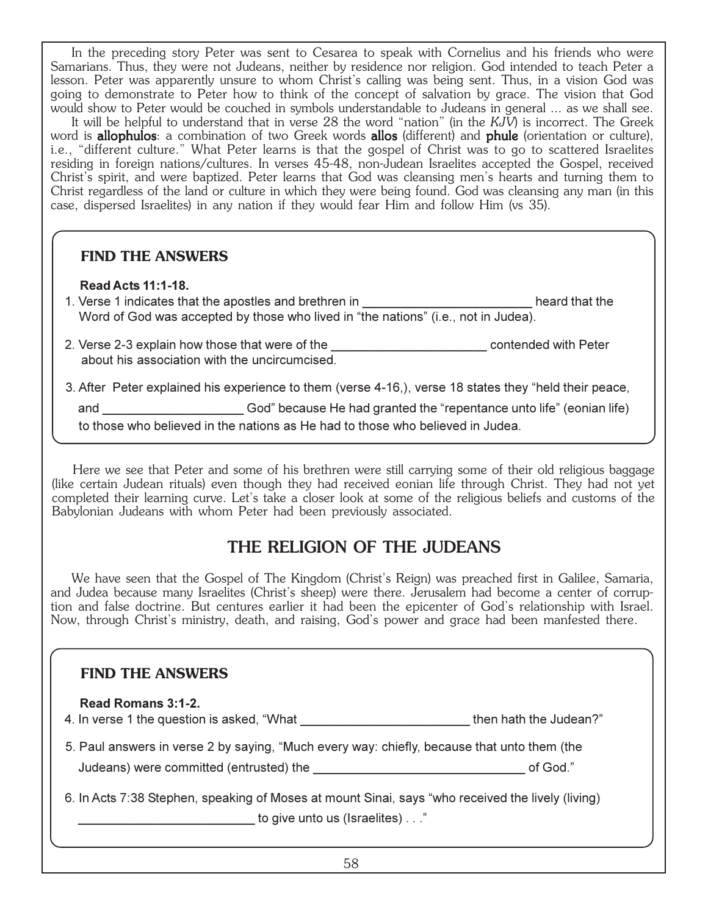In the preceding story Peter was sent to Cesarea to speak with Cornelius and his friends who were Samarians. Thus, they were not Judeans, neither by residence nor religion. God intended to teach Peter a lesson. Peter was apparently unsure to whom Christ's calling was being sent. Thus, in a vision God was going to demonstrate to Peter how to think of the concept of salvation by grace. The vision that God would show to Peter would be couched in symbols understandable to Judeans in general ... as we shall see.

It will be helpful to understand that in verse 28 the word "nation" (in the *KJV*) is incorrect. The Greek word is **allophulos**: a combination of two Greek words **allos** (different) and **phule** (orientation or culture), i.e., "different culture." What Peter learns is that the gospel of Christ was to go to scattered Israelites residing in foreign nations/cultures. In verses 45-48, non-Judean Israelites accepted the Gospel, received Christ's spirit, and were baptized. Peter learns that God was cleansing men's hearts and turning them to Christ regardless of the land or culture in which they were being found. God was cleansing any man (in this case, dispersed Israelites) in any nation if they would fear Him and follow Him (vs 35).

#### **FIND THE ANSWERS**

#### Read Acts 11:1-18.

1. Verse 1 indicates that the apostles and brethren in \_\_\_\_\_\_\_\_\_\_\_\_\_\_\_\_\_\_\_\_\_\_\_\_\_\_\_\_\_\_\_\_\_heard that the Word of God was accepted by those who lived in "the nations" (i.e., not in Judea).

 2. Verse 2-3 explain how those that were of the \_\_\_\_\_\_\_\_\_\_\_\_\_\_\_\_\_\_\_\_\_\_ contended with Peter about his association with the uncircumcised.

3. After Peter explained his experience to them (verse 4-16,), verse 18 states they "held their peace,

and **Example 2014** God" because He had granted the "repentance unto life" (eonian life)

to those who believed in the nations as He had to those who believed in Judea.

Here we see that Peter and some of his brethren were still carrying some of their old religious baggage (like certain Judean rituals) even though they had received eonian life through Christ. They had not yet completed their learning curve. Let's take a closer look at some of the religious beliefs and customs of the Babylonian Judeans with whom Peter had been previously associated.

## THE RELIGION OF THE JUDEANS

We have seen that the Gospel of The Kingdom (Christ's Reign) was preached first in Galilee, Samaria, and Judea because many Israelites (Christ's sheep) were there. Jerusalem had become a center of corruption and false doctrine. But centures earlier it had been the epicenter of God's relationship with Israel. Now, through Christ's ministry, death, and raising, God's power and grace had been manfested there.

#### **FIND THE ANSWERS**

| Read Romans 3:1-2.<br>4. In verse 1 the question is asked, "What                                                                                   | then hath the Judean?" |  |
|----------------------------------------------------------------------------------------------------------------------------------------------------|------------------------|--|
| 5. Paul answers in verse 2 by saying, "Much every way: chiefly, because that unto them (the<br>of God."<br>Judeans) were committed (entrusted) the |                        |  |
| 6. In Acts 7:38 Stephen, speaking of Moses at mount Sinai, says "who received the lively (living)<br>to give unto us (Israelites)"                 |                        |  |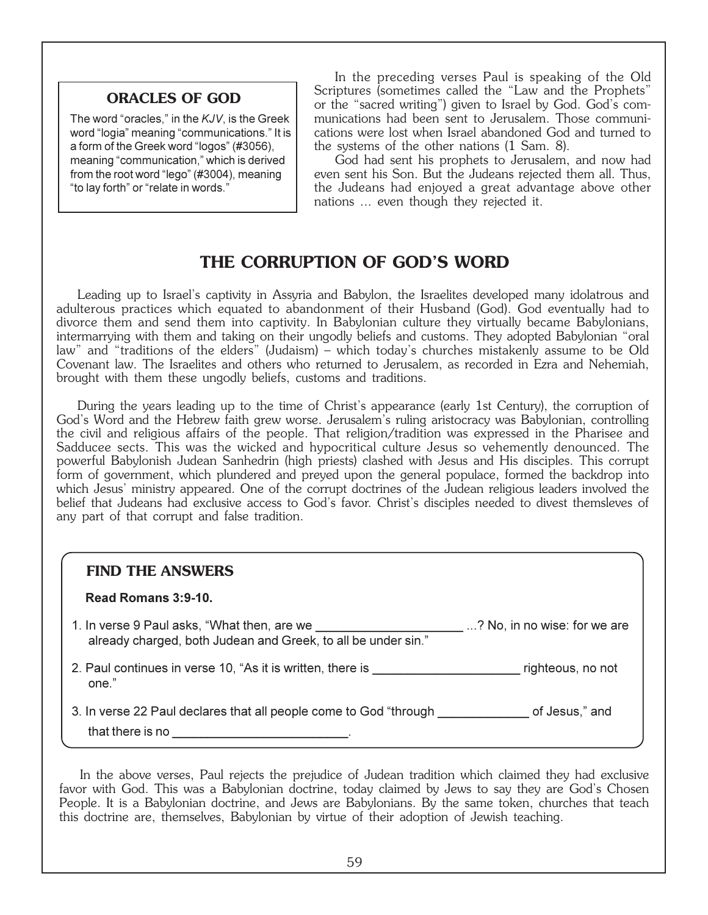#### **ORACLES OF GOD**

The word "oracles," in the KJV, is the Greek word "logia" meaning "communications." It is a form of the Greek word "logos" (#3056), meaning "communication," which is derived from the root word "lego" (#3004), meaning "to lay forth" or "relate in words."

In the preceding verses Paul is speaking of the Old Scriptures (sometimes called the "Law and the Prophets" or the "sacred writing") given to Israel by God. God's communications had been sent to Jerusalem. Those communications were lost when Israel abandoned God and turned to the systems of the other nations (1 Sam. 8).

God had sent his prophets to Jerusalem, and now had even sent his Son. But the Judeans rejected them all. Thus, the Judeans had enjoyed a great advantage above other nations ... even though they rejected it.

## **THE CORRUPTION OF GOD'S WORD**

Leading up to Israel's captivity in Assyria and Babylon, the Israelites developed many idolatrous and adulterous practices which equated to abandonment of their Husband (God). God eventually had to divorce them and send them into captivity. In Babylonian culture they virtually became Babylonians, intermarrying with them and taking on their ungodly beliefs and customs. They adopted Babylonian "oral law" and "traditions of the elders" (Judaism) – which today's churches mistakenly assume to be Old Covenant law. The Israelites and others who returned to Jerusalem, as recorded in Ezra and Nehemiah, brought with them these ungodly beliefs, customs and traditions.

During the years leading up to the time of Christ's appearance (early 1st Century), the corruption of God's Word and the Hebrew faith grew worse. Jerusalem's ruling aristocracy was Babylonian, controlling the civil and religious affairs of the people. That religion/tradition was expressed in the Pharisee and Sadducee sects. This was the wicked and hypocritical culture Jesus so vehemently denounced. The powerful Babylonish Judean Sanhedrin (high priests) clashed with Jesus and His disciples. This corrupt form of government, which plundered and preyed upon the general populace, formed the backdrop into which Jesus' ministry appeared. One of the corrupt doctrines of the Judean religious leaders involved the belief that Judeans had exclusive access to God's favor. Christ's disciples needed to divest themsleves of any part of that corrupt and false tradition.

#### **FIND THE ANSWERS**

#### Read Romans 3:9-10.

| 1. In verse 9 Paul asks, "What then, are we                   | ? No, in no wise: for we are |
|---------------------------------------------------------------|------------------------------|
| already charged, both Judean and Greek, to all be under sin." |                              |

2. Paul continues in verse 10, "As it is written, there is example the value of the righteous, no not one."

3. In verse 22 Paul declares that all people come to God "through \_\_\_\_\_\_\_\_\_\_\_\_\_ of Jesus," and

that there is no  $\blacksquare$ 

In the above verses, Paul rejects the prejudice of Judean tradition which claimed they had exclusive favor with God. This was a Babylonian doctrine, today claimed by Jews to say they are God's Chosen People. It is a Babylonian doctrine, and Jews are Babylonians. By the same token, churches that teach this doctrine are, themselves, Babylonian by virtue of their adoption of Jewish teaching.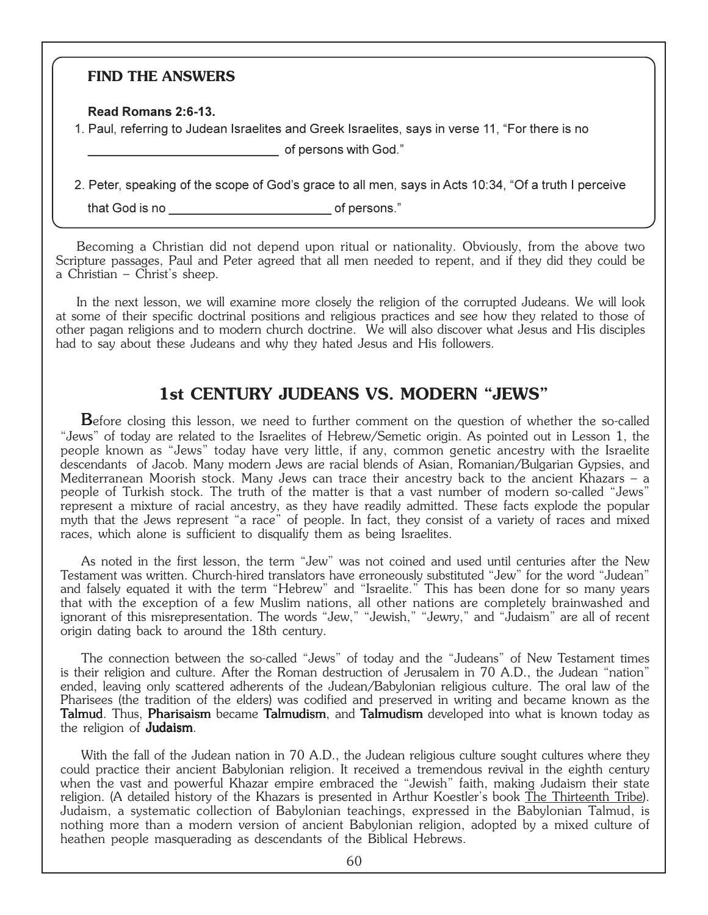#### **FIND THE ANSWERS**

Read Romans 2:6-13.

1. Paul, referring to Judean Israelites and Greek Israelites, says in verse 11, "For there is no

of persons with God."

2. Peter, speaking of the scope of God's grace to all men, says in Acts 10:34, "Of a truth I perceive

that God is no example of persons."

Becoming a Christian did not depend upon ritual or nationality. Obviously, from the above two Scripture passages, Paul and Peter agreed that all men needed to repent, and if they did they could be a Christian – Christ's sheep.

In the next lesson, we will examine more closely the religion of the corrupted Judeans. We will look at some of their specific doctrinal positions and religious practices and see how they related to those of other pagan religions and to modern church doctrine. We will also discover what Jesus and His disciples had to say about these Judeans and why they hated Jesus and His followers.

## **1st CENTURY JUDEANS VS. MODERN "JEWS"**

Before closing this lesson, we need to further comment on the question of whether the so-called "Jews" of today are related to the Israelites of Hebrew/Semetic origin. As pointed out in Lesson 1, the people known as "Jews" today have very little, if any, common genetic ancestry with the Israelite descendants of Jacob. Many modern Jews are racial blends of Asian, Romanian/Bulgarian Gypsies, and Mediterranean Moorish stock. Many Jews can trace their ancestry back to the ancient Khazars – a people of Turkish stock. The truth of the matter is that a vast number of modern so-called "Jews" represent a mixture of racial ancestry, as they have readily admitted. These facts explode the popular myth that the Jews represent "a race" of people. In fact, they consist of a variety of races and mixed races, which alone is sufficient to disqualify them as being Israelites.

As noted in the first lesson, the term "Jew" was not coined and used until centuries after the New Testament was written. Church-hired translators have erroneously substituted "Jew" for the word "Judean" and falsely equated it with the term "Hebrew" and "Israelite." This has been done for so many years that with the exception of a few Muslim nations, all other nations are completely brainwashed and ignorant of this misrepresentation. The words "Jew," "Jewish," "Jewry," and "Judaism" are all of recent origin dating back to around the 18th century.

The connection between the so-called "Jews" of today and the "Judeans" of New Testament times is their religion and culture. After the Roman destruction of Jerusalem in 70 A.D., the Judean "nation" ended, leaving only scattered adherents of the Judean/Babylonian religious culture. The oral law of the Pharisees (the tradition of the elders) was codified and preserved in writing and became known as the **Talmud**. Thus, **Pharisaism** became **Talmudism**, and **Talmudism** developed into what is known today as the religion of **Judaism**.

With the fall of the Judean nation in 70 A.D., the Judean religious culture sought cultures where they could practice their ancient Babylonian religion. It received a tremendous revival in the eighth century when the vast and powerful Khazar empire embraced the "Jewish" faith, making Judaism their state religion. (A detailed history of the Khazars is presented in Arthur Koestler's book The Thirteenth Tribe). Judaism, a systematic collection of Babylonian teachings, expressed in the Babylonian Talmud, is nothing more than a modern version of ancient Babylonian religion, adopted by a mixed culture of heathen people masquerading as descendants of the Biblical Hebrews.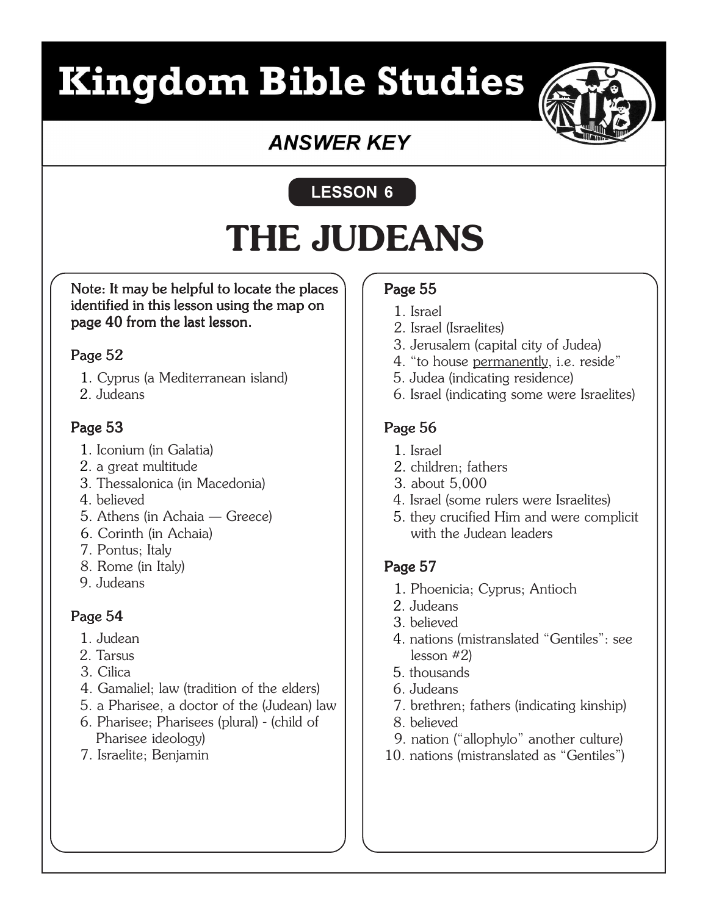# **Kingdom Bible Studies**



## **ANSWER KEY**

## LESSON 6

## **THE JUDEANS**

Note: It may be helpful to locate the places identified in this lesson using the map on page 40 from the last lesson.

## Page 52

- 1. Cyprus (a Mediterranean island)
- 2. Judeans

## Page 53

- 1. Iconium (in Galatia)
- 2. a great multitude
- 3. Thessalonica (in Macedonia)
- 4. believed
- 5. Athens (in Achaia Greece)
- 6. Corinth (in Achaia)
- 7. Pontus; Italy
- 8. Rome (in Italy)
- 9. Judeans

## Page 54

- 1. Judean
- 2. Tarsus
- 3. Cilica
- 4. Gamaliel; law (tradition of the elders)
- 5. a Pharisee, a doctor of the (Judean) law
- 6. Pharisee; Pharisees (plural) (child of Pharisee ideology)
- 7. Israelite; Benjamin

## Page 55

- 1. Israel
- 2. Israel (Israelites)
- 3. Jerusalem (capital city of Judea)
- 4. "to house permanently, i.e. reside"
- 5. Judea (indicating residence)
- 6. Israel (indicating some were Israelites)

## Page 56

- 1. Israel
- 2. children; fathers
- 3. about 5,000
- 4. Israel (some rulers were Israelites)
- 5. they crucified Him and were complicit with the Judean leaders

## Page 57

- 1. Phoenicia; Cyprus; Antioch
- 2. Judeans
- 3. believed
- 4. nations (mistranslated "Gentiles": see lesson #2)
- 5. thousands
- 6. Judeans
- 7. brethren; fathers (indicating kinship)
- 8. believed
- 9. nation ("allophylo" another culture)
- 10. nations (mistranslated as "Gentiles")